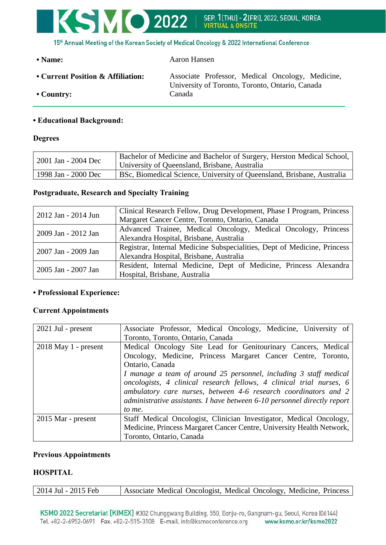

| • Name:                           | Aaron Hansen                                                                                        |
|-----------------------------------|-----------------------------------------------------------------------------------------------------|
| • Current Position & Affiliation: | Associate Professor, Medical Oncology, Medicine,<br>University of Toronto, Toronto, Ontario, Canada |
| $\cdot$ Country:                  | Canada                                                                                              |

## **• Educational Background:**

#### **Degrees**

| 2001 Jan - 2004 Dec | Bachelor of Medicine and Bachelor of Surgery, Herston Medical School,<br>University of Queensland, Brisbane, Australia |
|---------------------|------------------------------------------------------------------------------------------------------------------------|
| 1998 Jan - 2000 Dec | BSc, Biomedical Science, University of Queensland, Brisbane, Australia                                                 |

## **Postgraduate, Research and Specialty Training**

| 2012 Jan - 2014 Jun | Clinical Research Fellow, Drug Development, Phase I Program, Princess    |
|---------------------|--------------------------------------------------------------------------|
|                     | Margaret Cancer Centre, Toronto, Ontario, Canada                         |
| 2009 Jan - 2012 Jan | Advanced Trainee, Medical Oncology, Medical Oncology, Princess           |
|                     | Alexandra Hospital, Brisbane, Australia                                  |
| 2007 Jan - 2009 Jan | Registrar, Internal Medicine Subspecialities, Dept of Medicine, Princess |
|                     | Alexandra Hospital, Brisbane, Australia                                  |
| 2005 Jan - 2007 Jan | Resident, Internal Medicine, Dept of Medicine, Princess Alexandra        |
|                     | Hospital, Brisbane, Australia                                            |

## **• Professional Experience:**

#### **Current Appointments**

| $2021$ Jul - present   | Associate Professor, Medical Oncology, Medicine, University of           |
|------------------------|--------------------------------------------------------------------------|
|                        | Toronto, Toronto, Ontario, Canada                                        |
| $2018$ May 1 - present | Medical Oncology Site Lead for Genitourinary Cancers, Medical            |
|                        | Oncology, Medicine, Princess Margaret Cancer Centre, Toronto,            |
|                        | Ontario, Canada                                                          |
|                        | I manage a team of around 25 personnel, including 3 staff medical        |
|                        | oncologists, 4 clinical research fellows, 4 clinical trial nurses, 6     |
|                        | ambulatory care nurses, between 4-6 research coordinators and 2          |
|                        | administrative assistants. I have between 6-10 personnel directly report |
|                        | to me.                                                                   |
| 2015 Mar - present     | Staff Medical Oncologist, Clinician Investigator, Medical Oncology,      |
|                        | Medicine, Princess Margaret Cancer Centre, University Health Network,    |
|                        | Toronto, Ontario, Canada                                                 |

#### **Previous Appointments**

# **HOSPITAL**

| Associate Medical Oncologist, Medical Oncology, Medicine, Princess<br>2014 Jul - 2015 Feb |  |
|-------------------------------------------------------------------------------------------|--|
|-------------------------------------------------------------------------------------------|--|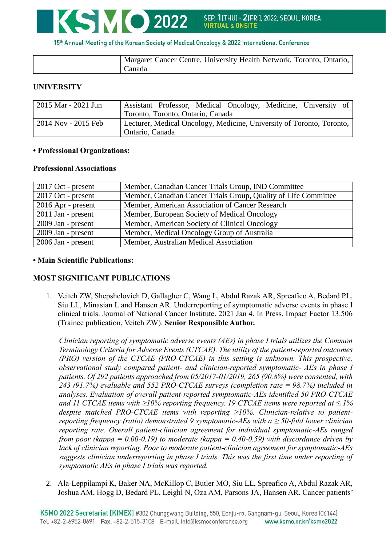

15th Annual Meeting of the Korean Society of Medical Oncology & 2022 International Conference

| Margaret Cancer Centre, University Health Network, Toronto, Ontario, |
|----------------------------------------------------------------------|
| Canada                                                               |

# **UNIVERSITY**

| 2015 Mar - 2021 Jun | Assistant Professor, Medical Oncology, Medicine, University of                           |
|---------------------|------------------------------------------------------------------------------------------|
|                     | Toronto, Toronto, Ontario, Canada                                                        |
| 2014 Nov - 2015 Feb | Lecturer, Medical Oncology, Medicine, University of Toronto, Toronto,<br>Ontario, Canada |

## **• Professional Organizations:**

## **Professional Associations**

| $2017$ Oct - present | Member, Canadian Cancer Trials Group, IND Committee             |
|----------------------|-----------------------------------------------------------------|
| 2017 Oct - present   | Member, Canadian Cancer Trials Group, Quality of Life Committee |
| $2016$ Apr - present | Member, American Association of Cancer Research                 |
| $2011$ Jan - present | Member, European Society of Medical Oncology                    |
| 2009 Jan - present   | Member, American Society of Clinical Oncology                   |
| 2009 Jan - present   | Member, Medical Oncology Group of Australia                     |
| 2006 Jan - present   | Member, Australian Medical Association                          |

# **• Main Scientific Publications:**

# **MOST SIGNIFICANT PUBLICATIONS**

1. Veitch ZW, Shepshelovich D, Gallagher C, Wang L, Abdul Razak AR, Spreafico A, Bedard PL, Siu LL, Minasian L and Hansen AR. Underreporting of symptomatic adverse events in phase I clinical trials. Journal of National Cancer Institute. 2021 Jan 4. In Press. Impact Factor 13.506 (Trainee publication, Veitch ZW). **Senior Responsible Author.**

*Clinician reporting of symptomatic adverse events (AEs) in phase I trials utilizes the Common Terminology Criteria for Adverse Events (CTCAE). The utility of the patient-reported outcomes (PRO) version of the CTCAE (PRO-CTCAE) in this setting is unknown. This prospective, observational study compared patient- and clinician-reported symptomatic- AEs in phase I patients. Of 292 patients approached from 05/2017-01/2019, 265 (90.8%) were consented, with 243 (91.7%) evaluable and 552 PRO-CTCAE surveys (completion rate = 98.7%) included in analyses. Evaluation of overall patient-reported symptomatic-AEs identified 50 PRO-CTCAE and 11 CTCAE items with ≥10% reporting frequency. 19 CTCAE items were reported at ≤ 1% despite matched PRO-CTCAE items with reporting ≥10%. Clinician-relative to patientreporting frequency (ratio) demonstrated 9 symptomatic-AEs with a ≥ 50-fold lower clinician reporting rate. Overall patient-clinician agreement for individual symptomatic-AEs ranged from poor (kappa = 0.00-0.19) to moderate (kappa = 0.40-0.59) with discordance driven by lack of clinician reporting. Poor to moderate patient-clinician agreement for symptomatic-AEs suggests clinician underreporting in phase I trials. This was the first time under reporting of symptomatic AEs in phase I trials was reported.*

2. Ala-Leppilampi K, Baker NA, McKillop C, Butler MO, Siu LL, Spreafico A, Abdul Razak AR, Joshua AM, Hogg D, Bedard PL, Leighl N, Oza AM, Parsons JA, Hansen AR. Cancer patients'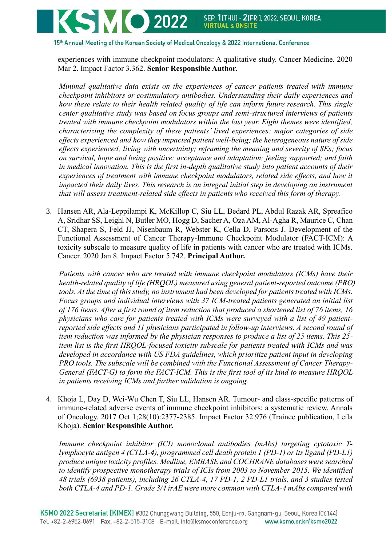15th Annual Meeting of the Korean Society of Medical Oncology & 2022 International Conference

experiences with immune checkpoint modulators: A qualitative study. Cancer Medicine. 2020 Mar 2. Impact Factor 3.362. **Senior Responsible Author.** 

*Minimal qualitative data exists on the experiences of cancer patients treated with immune checkpoint inhibitors or costimulatory antibodies. Understanding their daily experiences and how these relate to their health related quality of life can inform future research. This single center qualitative study was based on focus groups and semi-structured interviews of patients treated with immune checkpoint modulators within the last year. Eight themes were identified, characterizing the complexity of these patients' lived experiences: major categories of side effects experienced and how they impacted patient well-being; the heterogeneous nature of side effects experienced; living with uncertainty; reframing the meaning and severity of SEs; focus on survival, hope and being positive; acceptance and adaptation; feeling supported; and faith in medical innovation. This is the first in-depth qualitative study into patient accounts of their*  experiences of treatment with immune checkpoint modulators, related side effects, and how it *impacted their daily lives. This research is an integral initial step in developing an instrument that will assess treatment-related side effects in patients who received this form of therapy.*

3. Hansen AR, Ala-Leppilampi K, McKillop C, Siu LL, Bedard PL, Abdul Razak AR, Spreafico A, Sridhar SS, Leighl N, Butler MO, Hogg D, Sacher A, Oza AM, Al-Agha R, Maurice C, Chan CT, Shapera S, Feld JJ, Nisenbaum R, Webster K, Cella D, Parsons J. Development of the Functional Assessment of Cancer Therapy-Immune Checkpoint Modulator (FACT-ICM): A toxicity subscale to measure quality of life in patients with cancer who are treated with ICMs. Cancer. 2020 Jan 8. Impact Factor 5.742. **Principal Author.**

*Patients with cancer who are treated with immune checkpoint modulators (ICMs) have their health-related quality of life (HRQOL) measured using general patient-reported outcome (PRO) tools. At the time of this study, no instrument had been developed for patients treated with ICMs. Focus groups and individual interviews with 37 ICM-treated patients generated an initial list of 176 items. After a first round of item reduction that produced a shortened list of 76 items, 16 physicians who care for patients treated with ICMs were surveyed with a list of 49 patientreported side effects and 11 physicians participated in follow-up interviews. A second round of item reduction was informed by the physician responses to produce a list of 25 items. This 25 item list is the first HRQOL-focused toxicity subscale for patients treated with ICMs and was developed in accordance with US FDA guidelines, which prioritize patient input in developing PRO tools. The subscale will be combined with the Functional Assessment of Cancer Therapy-General (FACT-G) to form the FACT-ICM. This is the first tool of its kind to measure HRQOL in patients receiving ICMs and further validation is ongoing.*

4. Khoja L, Day D, Wei-Wu Chen T, Siu LL, Hansen AR. Tumour- and class-specific patterns of immune-related adverse events of immune checkpoint inhibitors: a systematic review. Annals of Oncology. 2017 Oct 1;28(10):2377-2385. Impact Factor 32.976 (Trainee publication, Leila Khoja). **Senior Responsible Author.**

*Immune checkpoint inhibitor (ICI) monoclonal antibodies (mAbs) targeting cytotoxic Tlymphocyte antigen 4 (CTLA-4), programmed cell death protein 1 (PD-1) or its ligand (PD-L1) produce unique toxicity profiles. Medline, EMBASE and COCHRANE databases were searched to identify prospective monotherapy trials of ICIs from 2003 to November 2015. We identified 48 trials (6938 patients), including 26 CTLA-4, 17 PD-1, 2 PD-L1 trials, and 3 studies tested both CTLA-4 and PD-1. Grade 3/4 irAE were more common with CTLA-4 mAbs compared with*